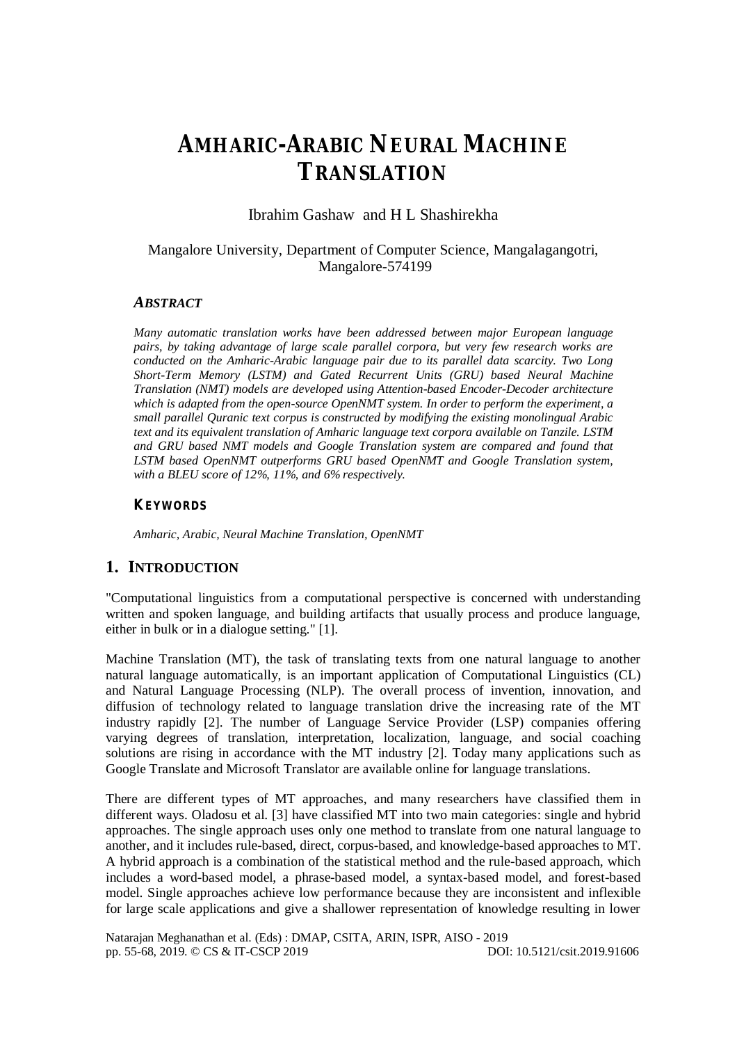# **AMHARIC-ARABIC NEURAL MACHINE TRANSLATION**

Ibrahim Gashaw and H L Shashirekha

## Mangalore University, Department of Computer Science, Mangalagangotri, Mangalore-574199

## *ABSTRACT*

*Many automatic translation works have been addressed between major European language pairs, by taking advantage of large scale parallel corpora, but very few research works are conducted on the Amharic-Arabic language pair due to its parallel data scarcity. Two Long Short-Term Memory (LSTM) and Gated Recurrent Units (GRU) based Neural Machine Translation (NMT) models are developed using Attention-based Encoder-Decoder architecture*  which is adapted from the open-source OpenNMT system. In order to perform the experiment, a *small parallel Quranic text corpus is constructed by modifying the existing monolingual Arabic text and its equivalent translation of Amharic language text corpora available on Tanzile. LSTM and GRU based NMT models and Google Translation system are compared and found that LSTM based OpenNMT outperforms GRU based OpenNMT and Google Translation system, with a BLEU score of 12%, 11%, and 6% respectively.*

#### *KEYWORDS*

*Amharic, Arabic, Neural Machine Translation, OpenNMT* 

## **1. INTRODUCTION**

"Computational linguistics from a computational perspective is concerned with understanding written and spoken language, and building artifacts that usually process and produce language, either in bulk or in a dialogue setting." [1].

Machine Translation (MT), the task of translating texts from one natural language to another natural language automatically, is an important application of Computational Linguistics (CL) and Natural Language Processing (NLP). The overall process of invention, innovation, and diffusion of technology related to language translation drive the increasing rate of the MT industry rapidly [2]. The number of Language Service Provider (LSP) companies offering varying degrees of translation, interpretation, localization, language, and social coaching solutions are rising in accordance with the MT industry [2]. Today many applications such as Google Translate and Microsoft Translator are available online for language translations.

There are different types of MT approaches, and many researchers have classified them in different ways. Oladosu et al. [3] have classified MT into two main categories: single and hybrid approaches. The single approach uses only one method to translate from one natural language to another, and it includes rule-based, direct, corpus-based, and knowledge-based approaches to MT. A hybrid approach is a combination of the statistical method and the rule-based approach, which includes a word-based model, a phrase-based model, a syntax-based model, and forest-based model. Single approaches achieve low performance because they are inconsistent and inflexible for large scale applications and give a shallower representation of knowledge resulting in lower

Natarajan Meghanathan et al. (Eds) : DMAP, CSITA, ARIN, ISPR, AISO - 2019 pp. 55-68, 2019. © CS & IT-CSCP 2019 DOI: 10.5121/csit.2019.91606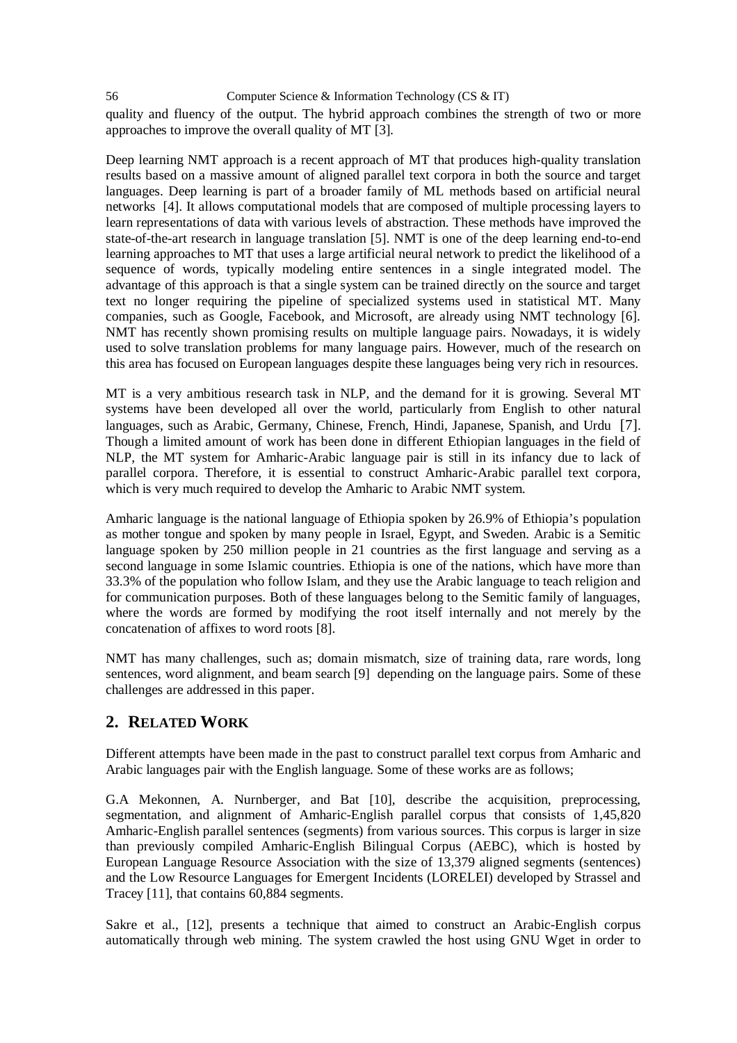56 Computer Science & Information Technology (CS & IT) quality and fluency of the output. The hybrid approach combines the strength of two or more approaches to improve the overall quality of MT [3].

Deep learning NMT approach is a recent approach of MT that produces high-quality translation results based on a massive amount of aligned parallel text corpora in both the source and target languages. Deep learning is part of a broader family of ML methods based on artificial neural networks [4]. It allows computational models that are composed of multiple processing layers to learn representations of data with various levels of abstraction. These methods have improved the state-of-the-art research in language translation [5]. NMT is one of the deep learning end-to-end learning approaches to MT that uses a large artificial neural network to predict the likelihood of a sequence of words, typically modeling entire sentences in a single integrated model. The advantage of this approach is that a single system can be trained directly on the source and target text no longer requiring the pipeline of specialized systems used in statistical MT. Many companies, such as Google, Facebook, and Microsoft, are already using NMT technology [6]. NMT has recently shown promising results on multiple language pairs. Nowadays, it is widely used to solve translation problems for many language pairs. However, much of the research on this area has focused on European languages despite these languages being very rich in resources.

MT is a very ambitious research task in NLP, and the demand for it is growing. Several MT systems have been developed all over the world, particularly from English to other natural languages, such as Arabic, Germany, Chinese, French, Hindi, Japanese, Spanish, and Urdu [7]. Though a limited amount of work has been done in different Ethiopian languages in the field of NLP, the MT system for Amharic-Arabic language pair is still in its infancy due to lack of parallel corpora. Therefore, it is essential to construct Amharic-Arabic parallel text corpora, which is very much required to develop the Amharic to Arabic NMT system.

Amharic language is the national language of Ethiopia spoken by 26.9% of Ethiopia's population as mother tongue and spoken by many people in Israel, Egypt, and Sweden. Arabic is a Semitic language spoken by 250 million people in 21 countries as the first language and serving as a second language in some Islamic countries. Ethiopia is one of the nations, which have more than 33.3% of the population who follow Islam, and they use the Arabic language to teach religion and for communication purposes. Both of these languages belong to the Semitic family of languages, where the words are formed by modifying the root itself internally and not merely by the concatenation of affixes to word roots [8].

NMT has many challenges, such as; domain mismatch, size of training data, rare words, long sentences, word alignment, and beam search [9] depending on the language pairs. Some of these challenges are addressed in this paper.

## **2. RELATED WORK**

Different attempts have been made in the past to construct parallel text corpus from Amharic and Arabic languages pair with the English language. Some of these works are as follows;

G.A Mekonnen, A. Nurnberger, and Bat [10], describe the acquisition, preprocessing, segmentation, and alignment of Amharic-English parallel corpus that consists of 1,45,820 Amharic-English parallel sentences (segments) from various sources. This corpus is larger in size than previously compiled Amharic-English Bilingual Corpus (AEBC), which is hosted by European Language Resource Association with the size of 13,379 aligned segments (sentences) and the Low Resource Languages for Emergent Incidents (LORELEI) developed by Strassel and Tracey [11], that contains 60,884 segments.

Sakre et al., [12], presents a technique that aimed to construct an Arabic-English corpus automatically through web mining. The system crawled the host using GNU Wget in order to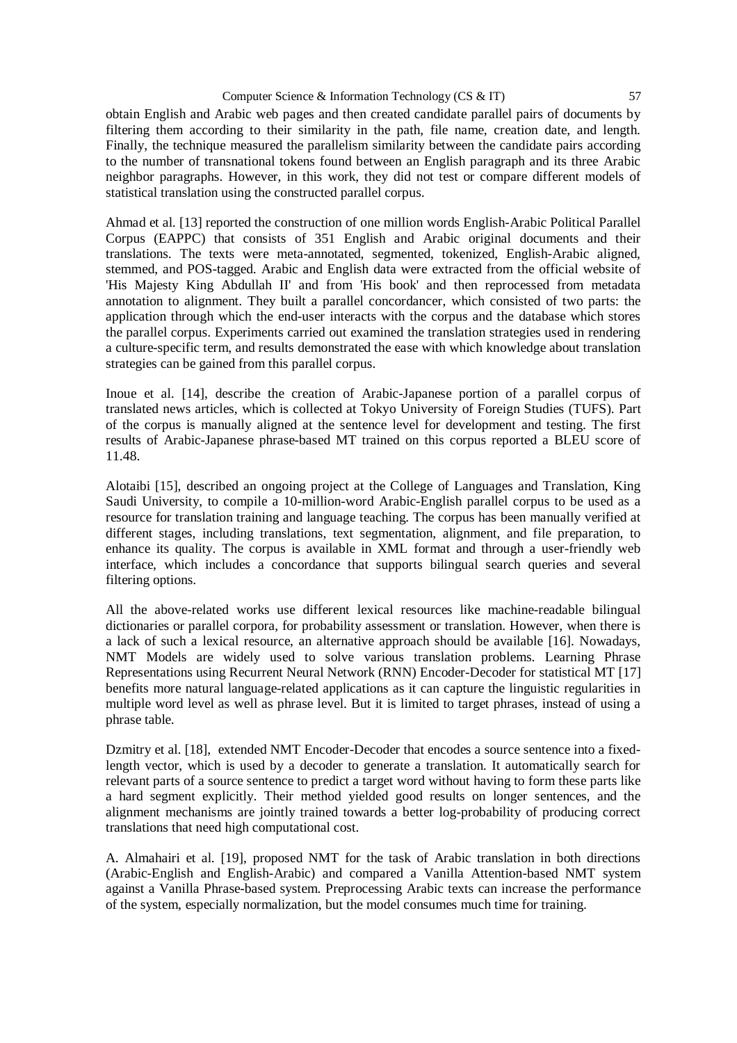obtain English and Arabic web pages and then created candidate parallel pairs of documents by filtering them according to their similarity in the path, file name, creation date, and length. Finally, the technique measured the parallelism similarity between the candidate pairs according to the number of transnational tokens found between an English paragraph and its three Arabic neighbor paragraphs. However, in this work, they did not test or compare different models of statistical translation using the constructed parallel corpus.

Ahmad et al. [13] reported the construction of one million words English-Arabic Political Parallel Corpus (EAPPC) that consists of 351 English and Arabic original documents and their translations. The texts were meta-annotated, segmented, tokenized, English-Arabic aligned, stemmed, and POS-tagged. Arabic and English data were extracted from the official website of 'His Majesty King Abdullah II' and from 'His book' and then reprocessed from metadata annotation to alignment. They built a parallel concordancer, which consisted of two parts: the application through which the end-user interacts with the corpus and the database which stores the parallel corpus. Experiments carried out examined the translation strategies used in rendering a culture-specific term, and results demonstrated the ease with which knowledge about translation strategies can be gained from this parallel corpus.

Inoue et al. [14], describe the creation of Arabic-Japanese portion of a parallel corpus of translated news articles, which is collected at Tokyo University of Foreign Studies (TUFS). Part of the corpus is manually aligned at the sentence level for development and testing. The first results of Arabic-Japanese phrase-based MT trained on this corpus reported a BLEU score of 11.48.

Alotaibi [15], described an ongoing project at the College of Languages and Translation, King Saudi University, to compile a 10-million-word Arabic-English parallel corpus to be used as a resource for translation training and language teaching. The corpus has been manually verified at different stages, including translations, text segmentation, alignment, and file preparation, to enhance its quality. The corpus is available in XML format and through a user-friendly web interface, which includes a concordance that supports bilingual search queries and several filtering options.

All the above-related works use different lexical resources like machine-readable bilingual dictionaries or parallel corpora, for probability assessment or translation. However, when there is a lack of such a lexical resource, an alternative approach should be available [16]. Nowadays, NMT Models are widely used to solve various translation problems. Learning Phrase Representations using Recurrent Neural Network (RNN) Encoder-Decoder for statistical MT [17] benefits more natural language-related applications as it can capture the linguistic regularities in multiple word level as well as phrase level. But it is limited to target phrases, instead of using a phrase table.

Dzmitry et al. [18], extended NMT Encoder-Decoder that encodes a source sentence into a fixedlength vector, which is used by a decoder to generate a translation. It automatically search for relevant parts of a source sentence to predict a target word without having to form these parts like a hard segment explicitly. Their method yielded good results on longer sentences, and the alignment mechanisms are jointly trained towards a better log-probability of producing correct translations that need high computational cost.

A. Almahairi et al. [19], proposed NMT for the task of Arabic translation in both directions (Arabic-English and English-Arabic) and compared a Vanilla Attention-based NMT system against a Vanilla Phrase-based system. Preprocessing Arabic texts can increase the performance of the system, especially normalization, but the model consumes much time for training.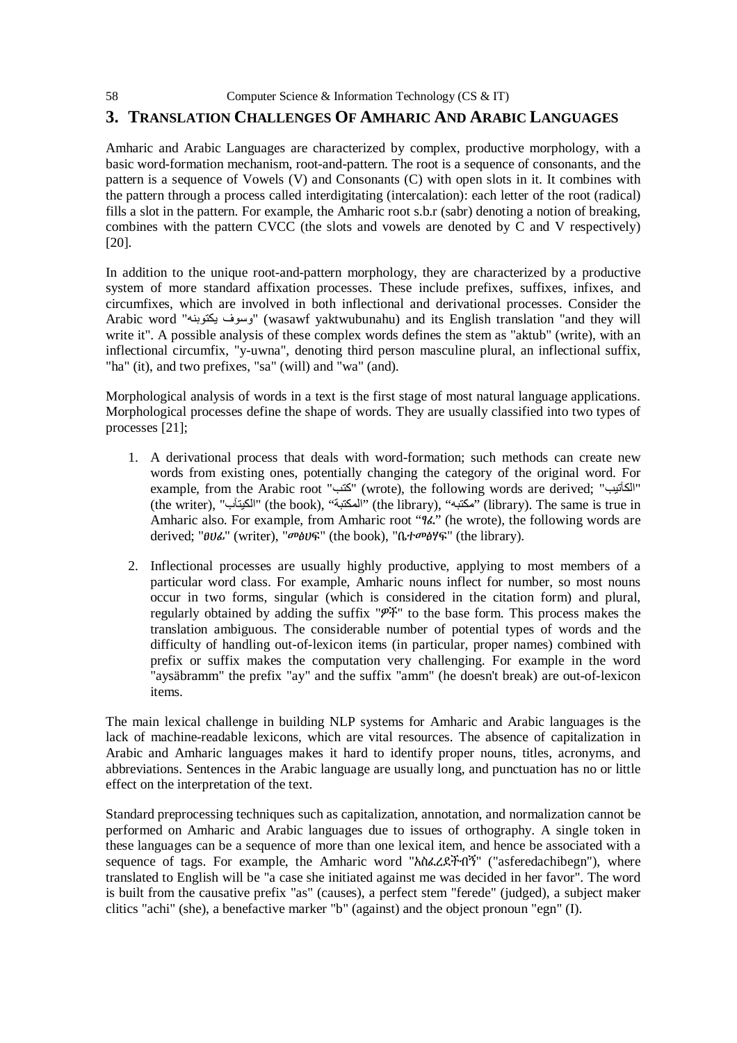## **3. TRANSLATION CHALLENGES OF AMHARIC AND ARABIC LANGUAGES**

Amharic and Arabic Languages are characterized by complex, productive morphology, with a basic word-formation mechanism, root-and-pattern. The root is a sequence of consonants, and the pattern is a sequence of Vowels (V) and Consonants (C) with open slots in it. It combines with the pattern through a process called interdigitating (intercalation): each letter of the root (radical) fills a slot in the pattern. For example, the Amharic root s.b.r (sabr) denoting a notion of breaking, combines with the pattern CVCC (the slots and vowels are denoted by C and V respectively) [20].

In addition to the unique root-and-pattern morphology, they are characterized by a productive system of more standard affixation processes. These include prefixes, suffixes, infixes, and circumfixes, which are involved in both inflectional and derivational processes. Consider the Arabic word "یكتوبنھ وسوف) "wasawf yaktwubunahu) and its English translation "and they will write it". A possible analysis of these complex words defines the stem as "aktub" (write), with an inflectional circumfix, "y-uwna", denoting third person masculine plural, an inflectional suffix, "ha" (it), and two prefixes, "sa" (will) and "wa" (and).

Morphological analysis of words in a text is the first stage of most natural language applications. Morphological processes define the shape of words. They are usually classified into two types of processes [21];

- 1. A derivational process that deals with word-formation; such methods can create new words from existing ones, potentially changing the category of the original word. For example, from the Arabic root "كتب" (wrote), the following words are derived; "الكآتيب" (the writer), "المكتبة)" (the book), "المكتبة)" (the library), "مكتبه") (library). The same is true in Amharic also. For example, from Amharic root "ፃፈ" (he wrote), the following words are derived; "ፀሀፊ" (writer), "መፅሀፍ" (the book), "ቤተመፅሃፍ" (the library).
- 2. Inflectional processes are usually highly productive, applying to most members of a particular word class. For example, Amharic nouns inflect for number, so most nouns occur in two forms, singular (which is considered in the citation form) and plural, regularly obtained by adding the suffix "ዎች" to the base form. This process makes the translation ambiguous. The considerable number of potential types of words and the difficulty of handling out-of-lexicon items (in particular, proper names) combined with prefix or suffix makes the computation very challenging. For example in the word "aysäbramm" the prefix "ay" and the suffix "amm" (he doesn't break) are out-of-lexicon items.

The main lexical challenge in building NLP systems for Amharic and Arabic languages is the lack of machine-readable lexicons, which are vital resources. The absence of capitalization in Arabic and Amharic languages makes it hard to identify proper nouns, titles, acronyms, and abbreviations. Sentences in the Arabic language are usually long, and punctuation has no or little effect on the interpretation of the text.

Standard preprocessing techniques such as capitalization, annotation, and normalization cannot be performed on Amharic and Arabic languages due to issues of orthography. A single token in these languages can be a sequence of more than one lexical item, and hence be associated with a sequence of tags. For example, the Amharic word "አስፈረደችብኝ" ("asferedachibegn"), where translated to English will be "a case she initiated against me was decided in her favor". The word is built from the causative prefix "as" (causes), a perfect stem "ferede" (judged), a subject maker clitics "achi" (she), a benefactive marker "b" (against) and the object pronoun "egn" (I).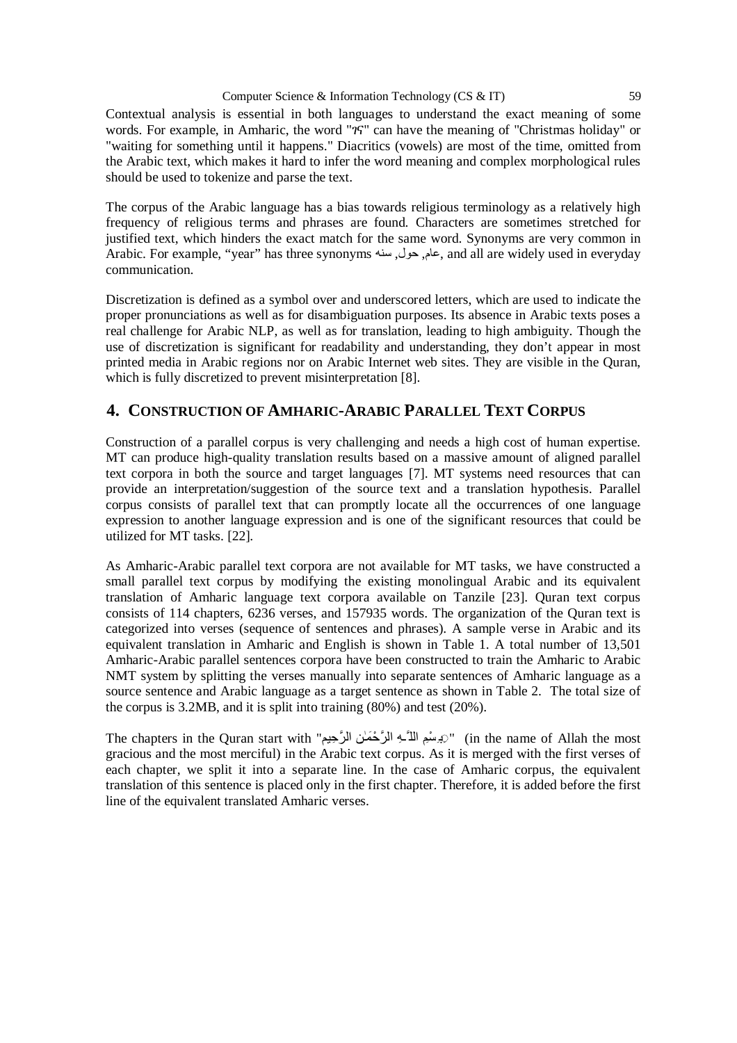Contextual analysis is essential in both languages to understand the exact meaning of some words. For example, in Amharic, the word "ገና" can have the meaning of "Christmas holiday" or "waiting for something until it happens." Diacritics (vowels) are most of the time, omitted from the Arabic text, which makes it hard to infer the word meaning and complex morphological rules should be used to tokenize and parse the text.

The corpus of the Arabic language has a bias towards religious terminology as a relatively high frequency of religious terms and phrases are found. Characters are sometimes stretched for justified text, which hinders the exact match for the same word. Synonyms are very common in Arabic. For example, "year" has three synonyms سنھ ,حول ,عام, and all are widely used in everyday communication.

Discretization is defined as a symbol over and underscored letters, which are used to indicate the proper pronunciations as well as for disambiguation purposes. Its absence in Arabic texts poses a real challenge for Arabic NLP, as well as for translation, leading to high ambiguity. Though the use of discretization is significant for readability and understanding, they don't appear in most printed media in Arabic regions nor on Arabic Internet web sites. They are visible in the Quran, which is fully discretized to prevent misinterpretation [8].

# **4. CONSTRUCTION OF AMHARIC-ARABIC PARALLEL TEXT CORPUS**

Construction of a parallel corpus is very challenging and needs a high cost of human expertise. MT can produce high-quality translation results based on a massive amount of aligned parallel text corpora in both the source and target languages [7]. MT systems need resources that can provide an interpretation/suggestion of the source text and a translation hypothesis. Parallel corpus consists of parallel text that can promptly locate all the occurrences of one language expression to another language expression and is one of the significant resources that could be utilized for MT tasks. [22].

As Amharic-Arabic parallel text corpora are not available for MT tasks, we have constructed a small parallel text corpus by modifying the existing monolingual Arabic and its equivalent translation of Amharic language text corpora available on Tanzile [23]. Quran text corpus consists of 114 chapters, 6236 verses, and 157935 words. The organization of the Quran text is categorized into verses (sequence of sentences and phrases). A sample verse in Arabic and its equivalent translation in Amharic and English is shown in Table 1. A total number of 13,501 Amharic-Arabic parallel sentences corpora have been constructed to train the Amharic to Arabic NMT system by splitting the verses manually into separate sentences of Amharic language as a source sentence and Arabic language as a target sentence as shown in Table 2. The total size of the corpus is 3.2MB, and it is split into training (80%) and test (20%).

The chapters in the Quran start with "وَيَرْسُمِ اللَّـَـهِ الرَّحْمَـٰنِ الرَّحِيمِ) " (in the name of Allah the most gracious and the most merciful) in the Arabic text corpus. As it is merged with the first verses of each chapter, we split it into a separate line. In the case of Amharic corpus, the equivalent translation of this sentence is placed only in the first chapter. Therefore, it is added before the first line of the equivalent translated Amharic verses.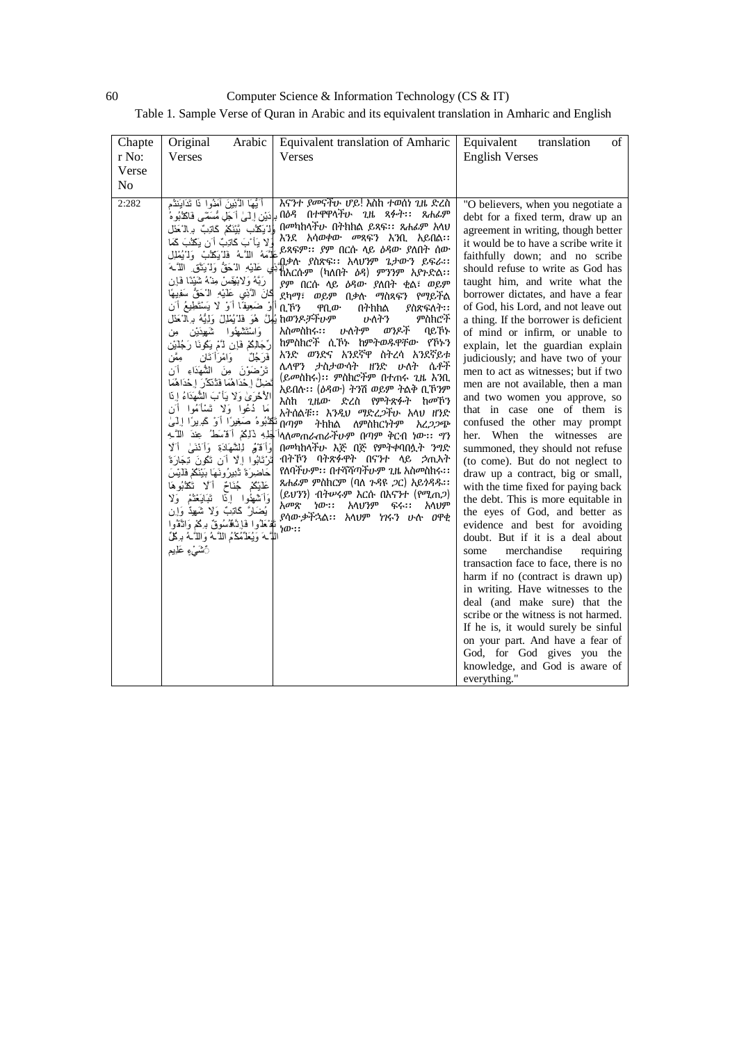60 Computer Science & Information Technology (CS & IT)

Table 1. Sample Verse of Quran in Arabic and its equivalent translation in Amharic and English

| Chapte<br>r No:<br>Verse<br>No | Original<br>Arabic<br>Verses                                                                                                                                                                                                                                                                                                                                                                                                                                                                                                                                                                                                                                                                                                                                                                                                                                                                                                                                                                                                                                                                                                                                                                                                                | Equivalent translation of Amharic<br>Verses                                                                                                                                                                                                                                                                                                                                                                                                                                                                                                                                                                                                                                                                                                                                                                                                                                                                                                                                                                                  | Equivalent<br>of<br>translation<br><b>English Verses</b>                                                                                                                                                                                                                                                                                                                                                                                                                                                                                                                                                                                                                                                                                                                                                                                                                                                                                                                                                                                                                                                                                                                                                                                                                                                                                                                                                      |
|--------------------------------|---------------------------------------------------------------------------------------------------------------------------------------------------------------------------------------------------------------------------------------------------------------------------------------------------------------------------------------------------------------------------------------------------------------------------------------------------------------------------------------------------------------------------------------------------------------------------------------------------------------------------------------------------------------------------------------------------------------------------------------------------------------------------------------------------------------------------------------------------------------------------------------------------------------------------------------------------------------------------------------------------------------------------------------------------------------------------------------------------------------------------------------------------------------------------------------------------------------------------------------------|------------------------------------------------------------------------------------------------------------------------------------------------------------------------------------------------------------------------------------------------------------------------------------------------------------------------------------------------------------------------------------------------------------------------------------------------------------------------------------------------------------------------------------------------------------------------------------------------------------------------------------------------------------------------------------------------------------------------------------------------------------------------------------------------------------------------------------------------------------------------------------------------------------------------------------------------------------------------------------------------------------------------------|---------------------------------------------------------------------------------------------------------------------------------------------------------------------------------------------------------------------------------------------------------------------------------------------------------------------------------------------------------------------------------------------------------------------------------------------------------------------------------------------------------------------------------------------------------------------------------------------------------------------------------------------------------------------------------------------------------------------------------------------------------------------------------------------------------------------------------------------------------------------------------------------------------------------------------------------------------------------------------------------------------------------------------------------------------------------------------------------------------------------------------------------------------------------------------------------------------------------------------------------------------------------------------------------------------------------------------------------------------------------------------------------------------------|
| 2:282                          | أَيُّهَا الَّذِينَ آمَنُوا ِنَا تَدَايَنتُم<br>وْلْ يَكْلُبِ بَيْنَكُمْ كَاتِبٌ بِهِ الْحَمْلِ<br>لا يَأْ بَ كَاتِبٌ أَن يَكَثُبَ كَمَا<br>طَّمَهُ اللَّـهُ فَلْيَكَنُبُ وَلاَيُمْلِل<br>ي عَلَيْهِ الْكَقُّ وَلَٰ يَتَنَّقَ اللَّـٰهَ<br>رَبَّهُ وَلابْيَتَسْ مِنْهُ شَيْنًا فَإِن<br>كَانَ الْأَنِي عَلَيْهِ الْأَحَقِّ سَفِيهًا<br>وْ ضَعِيفًا أَوْ لَا يَسْتَطِيعُ أَنِ<br>hወንዶቻችሁም يُلِمُلَّ هُوَ فَلْ يُمْلِلْ وَلِيُّهُ بِ الْمَطْل<br>وَاسْتَنْتَمْهُوا شَهِيدَيْنِ مِن<br>رِّجَالِكُمْ فَإِن لاَّمْ يَكُونَا رَجُلَيْن<br>مِمَّن<br>وَامْرَأْتَان<br>فَرَجُلٌ<br>تَرْضَوْنَ مِنَ الشَّهَدَاءِ أَن<br>نَضِلَّ إِحْدَاهُمَا فَذُنَكِّرَ إِحْدَاهُمَا<br>الأُخْرَىٰ وَلَا يَأْبَ الشَّهَدَاءُ إِذَا<br>مَا دُعُوا وَلا تَسْأَمُوا أَن<br>تَكَذَّبُوهُ صَغِيرًا أَوْ كَبِرِيرًا إِلَيْيَ<br>َجَلِهِ ذَلِكُمْ أَقْسَطُ عِندَ اللَّــهِ<br>وَأَقَوْمُ لِلشَّهَادَةِ وَأَنْنَىٰ أَلَا<br>تَرْتَابُوا إِلَّا أَن تَكُونَ تَجَارَةً<br>حَاضِرَةً تُنْفِرُونَهَا بَيْنَكُمْ فَلَيْسَ<br>عَلَيْكُمْ جُنَاحٌ أَلَا تَكَذَّبُوهَا<br>وَأَسْهَٰوا إِذَا تَبَايَعْتُمْ وَلَا<br>يُضَارَ كَاتِبٌ وَلَا شَهِدٌ وَإِن<br>نْفْخَذُوا فَإِنَّهُ سُوقٌ بِرَكْمْ وَانْقُوا<br>اللَّـهَ وَيُعَلِّمُكُمُ اللَّـهُ وَاللَّـهُ بِـكُلِّ<br>أَتْشَىٰءٍ عَلِيم | እናንተ ያመናቸሁ ሆይ! እስከ ተወሰነ ጊዜ ድረስ<br>ባሪዳ በተዋዋላቸሁ ጊዜ ጻፉት፡፡  ጸሐፊም بِإِدَيْنِ إِلَىٰ أَجَلِ مُّسَمَّى فَاكْتُبُوهُ<br>በመካከላቸሁ በትክክል ይጻፍ፡፡ ጸሐፊም አላህ<br>እንደ አሳወቀው መጻፍን እንቢ አይበል፡፡<br>ይጻፍም፡፡ ያም በርሱ ላይ ዕዳው ያለበት ሰው<br>.በቃሉ ያስጽፍ፡፡ አላህንም ጌታውን ይፍራ፡፡<br>ኸእርሱም (ካለበት <i>ዕዳ</i> ) ምንንም አያጉድል፡፡<br>ያም በርሱ ላይ ዕዳው ያለበት ቂል፣ ወይም<br>ደካማ፣ ወይም በቃሉ ማስጻፍን የማይችል<br>ቢኾን<br>ያስጽፍለት፡፡<br>ዋቢው<br>በትክክል<br>ምስክሮች<br>ሁለትን<br>ሁለትም<br>ወንዶች<br>አስመስክሩ፡፡<br>ባይኾኑ<br>ከምስክሮች ሲኾኑ ከምትወዱዋቸው የኾኑን<br>አንድ ወንድና አንደኛዋ ስትረሳ አንደኛይቱ<br>ሌላዋን ታስታውሳት ዘንድ ሁለት ሴቶች<br>(ይመስክሩ)፡፡ ምስክሮችም በተጠሩ ጊዜ እንቢ<br>አይበሉ፡፡ (ዕዳው) ትንሽ ወይም ትልቅ ቢኾንም<br>እስከ ጊዜው ድረስ የምትጽፉት ከመኾን<br>አትሰልቹ፡፡ እንዲህ ማድረ <i>ጋ</i> ቸሁ አላህ ዘንድ<br>በጣም<br>ትክክል<br>ለምስክርነትም<br>አረጋጋጭ<br><sup>ነ</sup> ላለ <i>መ</i> ጠራጠራቸሁም በጣም ቅርብ ነው፡፡ <i>ግ</i> ን<br>በመካከላቸሁ እጅ በጅ የምትቀባበሏት <i>ንግ</i> ድ<br>ብትኾን ባትጽፉዋት በናንተ ላይ ኃጢኣት<br>የለባችሁም፡፡ በተሻሻጣችሁም ጊዜ አስመስክሩ፡፡<br>ጸሐፊም ምስክርም (ባለ ጉዳዩ <i>ጋ</i> ር) አይ <i>ጎዳዱ</i> ፡፡<br>(ይህንን) ብትሥሩም እርሱ በእናንተ (የሚጠ2)<br>አመጽ<br>ነው።<br>አላህንም ፍሩ፡፡<br>አላህም<br>ያሳውቃችኋል፡፡ አላህም ነገሩን ሁሉ ዐዋቂ<br>ነው። | "O believers, when you negotiate a<br>debt for a fixed term, draw up an<br>agreement in writing, though better<br>it would be to have a scribe write it<br>faithfully down; and no scribe<br>should refuse to write as God has<br>taught him, and write what the<br>borrower dictates, and have a fear<br>of God, his Lord, and not leave out<br>a thing. If the borrower is deficient<br>of mind or infirm, or unable to<br>explain, let the guardian explain<br>judiciously; and have two of your<br>men to act as witnesses; but if two<br>men are not available, then a man<br>and two women you approve, so<br>that in case one of them is<br>confused the other may prompt<br>her. When the witnesses are<br>summoned, they should not refuse<br>(to come). But do not neglect to<br>draw up a contract, big or small,<br>with the time fixed for paying back<br>the debt. This is more equitable in<br>the eyes of God, and better as<br>evidence and best for avoiding<br>doubt. But if it is a deal about<br>merchandise<br>some<br>requiring<br>transaction face to face, there is no<br>harm if no (contract is drawn up)<br>in writing. Have witnesses to the<br>deal (and make sure) that the<br>scribe or the witness is not harmed.<br>If he is, it would surely be sinful<br>on your part. And have a fear of<br>God, for God gives you the<br>knowledge, and God is aware of<br>everything." |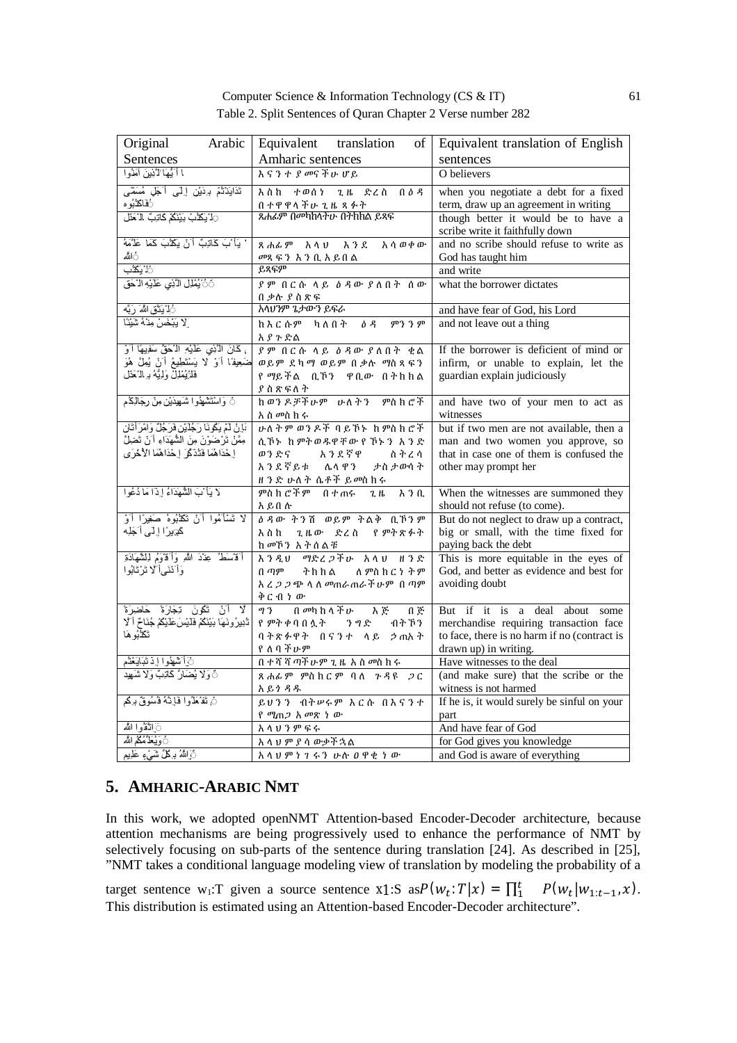|  |                               | Computer Science & Information Technology (CS $&IT$ )        | 61 |
|--|-------------------------------|--------------------------------------------------------------|----|
|  |                               | Table 2. Split Sentences of Quran Chapter 2 Verse number 282 |    |
|  | Arabic Equivalent translation | of Equivalent translation of English                         |    |

| Arabic<br>Original                                           | Equivalent translation<br>οf                            | Equivalent translation of English            |
|--------------------------------------------------------------|---------------------------------------------------------|----------------------------------------------|
| Sentences                                                    | Amharic sentences                                       | sentences                                    |
| ا أَيُّهَا لَأَنِينَ آمَنُوا                                 | እናንተ ያመናችሁ ሆይ                                           | O believers                                  |
| تَذَايَنْتُمْ بِرِدَيْنِ إِلَى أَجَلٍ مُسَمَّى               | እ ስ ከ<br>ተወሰነ<br>$2. \mu$<br>ድረስ በዕዳ                    | when you negotiate a debt for a fixed        |
| أفَاك <b>ذ</b> ُبُو ه                                        |                                                         | term, draw up an agreement in writing        |
| ⊖ا يَكَذَّبْ بَيْنَكُمْ كَاتِبٌ الْ َعَنْل                   | <u>በ ተዋዋላችሁ ጊዜ ጻፉት</u><br>ጸሐፊም በመካከላችሁ በትክክል ይጻፍ        | though better it would be to have a          |
|                                                              |                                                         | scribe write it faithfully down              |
| ' يَأْ بَ كَاتِبٌ أَنْ يَكَثُبَ كَمَا عَلَّمَهُ              | ጸሐፊም አላህ እንደ<br>አሳወቀው                                   | and no scribe should refuse to write as      |
| أالله                                                        | <i>መ</i> ጻፍን እንቢአይበል                                    | God has taught him                           |
| ثا <b>: بَكْتُ</b> ب                                         | ይጻፍም                                                    | and write                                    |
| َنْ يُمْلِلِ الَّذِي عَلَيْهِ الْحَقِّ                       | ያም በርሱ ላይ ዕዳው ያለበት ሰው                                   | what the borrower dictates                   |
|                                                              | በቃሉ ያስጽፍ                                                |                                              |
| <sup>3</sup> اٰ يَذَّق اللَّهَ رَبَّه                        | አላህንም ጌታውን ይፍራ                                          | and have fear of God, his Lord               |
| لا يَبْخَسْ مِنْهُ شَيْئًا                                   | ከእርሱም ካለበት<br>ዕ ዳ<br>ምን ን ም                             | and not leave out a thing                    |
|                                                              | አያጉድል                                                   |                                              |
| ، كَانَ الْأَنِي عَلَيْهِ الْآَحَقُّ سَفِيهًا أَوْ           | ያም በርሱ ላይ ዕዳው ያለበት ቂል                                   | If the borrower is deficient of mind or      |
| ضَعِيفًا أَوْ لَا يَسْتَطِيعُ أَنْ يُمِلَّ هُوَ              | ወይም ደካማ ወይም በቃሉ ማስጻፍን                                   | infirm, or unable to explain, let the        |
| فَلَرْيُمْلَٰٓٓٓلٌ وَلِيَّةُ بِرِ الْ حَدْلُ                 | የማይችል ቢኾን ዋቢው በትክክል                                     | guardian explain judiciously                 |
|                                                              | ያስጽፍለት                                                  |                                              |
| نَ وَاسْتَشْهَدُوا شَهِيدَيْنِ مِنْ رِجَالِكُمْ              | ከወንዶቻችሁም ሁለትን ምስክሮች                                     | and have two of your men to act as           |
|                                                              | አስ መስ ክ ሩ                                               | witnesses                                    |
| َبَإِنْ لَمْ يَكُونَا رَجُلَيْنِ فَرَجُلٌ وَامْرَأَتَانِ     | ሁለትም ወንዶች ባይኾኑ ከምስክሮች                                   | but if two men are not available, then a     |
| مِمَّنْ نَرْضَوْنَ مِنَ الشُّهَدَاءِ أَنْ نَضِلَّ            | ሲኾኑ ከምትወዱዋቸው የኾኑን አንድ                                   | man and two women you approve, so            |
| إِحْدَاهُمَا فَتُذَكَّرَ إِحْدَاهُمَا الْأُخْرَى             | ወንድና አንደኛዋ<br>ስትረሳ                                      | that in case one of them is confused the     |
|                                                              | አንደኛይቱ ሌላዋን<br>ታስ ታውሳ ት                                 | other may prompt her                         |
| لا يَأْ بَ الشَّهَدَاءُ إِذَا مَا دُعُوا                     | <u>ዘንድ ሁለት ሴቶች ይመስ</u> ክሩ<br>ምስክሮችም በተጠሩ<br>2H<br>እ ን ቢ | When the witnesses are summoned they         |
|                                                              | አይበሉ                                                    | should not refuse (to come).                 |
| لا تَسْأَمُوا أَنْ تَكَذَّبُوهُ صَغِيرًا أَوْ                | <u>ልዳው ትንሽ ወይም ትልቅ ቢኾንም</u>                             | But do not neglect to draw up a contract,    |
| كَٰدِيرًا إِلَى أَجَلِه                                      | ጊዜው ድረስ የምትጽፉት<br>እስከ                                   | big or small, with the time fixed for        |
|                                                              | ከመኾን አትሰልቹ                                              | paying back the debt                         |
| أَقْسَطُ عِنْدَ اللَّهِ وَأَقْوَمُ لِلشَّهَادَةِ             | እንዲህ ማድረጋችሁ አላህ ዘንድ                                     | This is more equitable in the eyes of        |
| وَأَنْنَىأَ لَا تَرْتَابُوا                                  | በ ጣም<br>ትክክል<br>ለ ምስ ክ ር ነ ት ም                          | God, and better as evidence and best for     |
|                                                              | አ <i>ረጋጋጭ</i> ላለ <i>መ</i> ጠራጠራቾሁም በጣም                   | avoiding doubt                               |
|                                                              | ቅርብነው                                                   |                                              |
| لَا أَنْ تَكُونَ تِجَارَةً حَاضِرَةً                         | በ መካከላችሁ<br>93<br>እጅ<br>በ ጅ                             | But if it is a deal about<br>some            |
| تُّذِيرُونَهَا بَيْنَكُمْ فَلَيْسَ عَلَيْكُمْ جُنَاحٌ أَلَّا | የምትቀባበሏት ንግድ<br>ብት ኾን                                   | merchandise requiring transaction face       |
| تَكَذَّبُو هَا                                               | ባትጽፉዋት በናንተ ላይ ኃጢአት                                     | to face, there is no harm if no (contract is |
|                                                              | የለባችሁም                                                  | drawn up) in writing.                        |
| نَ}َ تَسْهَدُوا إِذَ نَبَايَغْتُم                            | በ ተሻሻጣች ሁም ጊዜ አስመስ ከሩ                                   | Have witnesses to the deal                   |
| نَّ وَلَا يُضَارَّ كَاتِبٌ وَلَا شَهِيدُ                     | ጻሐፊም ምስክርም ባለ ጉዳዩ<br>2C                                 | (and make sure) that the scribe or the       |
|                                                              | አይነዳዱ                                                   | witness is not harmed                        |
| نْ تَفْكَلُوا فَإِنَّهُ فُسُوقٌ بِرَكُم                      | ይህንን ብትሥራም እርሱ በእናንተ                                    | If he is, it would surely be sinful on your  |
|                                                              | የ ሚጠ <i>ጋ</i> አመጽ ነ ው                                   | part                                         |
| ∂َ اتَّقُّوا اللَّه                                          | አላህንምፍሩ                                                 | And have fear of God                         |
| ُوَيُعَلَّمُكُمُ اللَّه                                      | አላህምያሳውቃችኋል                                             | for God gives you knowledge                  |
| نَّ اللَّهُ بِرِكْلِّ شَيْءٍ عَلَيْمٍ                        | <u>አላህምነገሩን ሁሉ ዐዋቂ ነው</u>                               | and God is aware of everything               |

# **5. AMHARIC-ARABIC NMT**

In this work, we adopted openNMT Attention-based Encoder-Decoder architecture, because attention mechanisms are being progressively used to enhance the performance of NMT by selectively focusing on sub-parts of the sentence during translation [24]. As described in [25], "NMT takes a conditional language modeling view of translation by modeling the probability of a

target sentence w<sub>1</sub>:T given a source sentence *x*1:S as  $P(w_t; T|x) = \prod_{i=1}^{t} P(w_t|w_{1:t-1}, x)$ . This distribution is estimated using an Attention-based Encoder-Decoder architecture".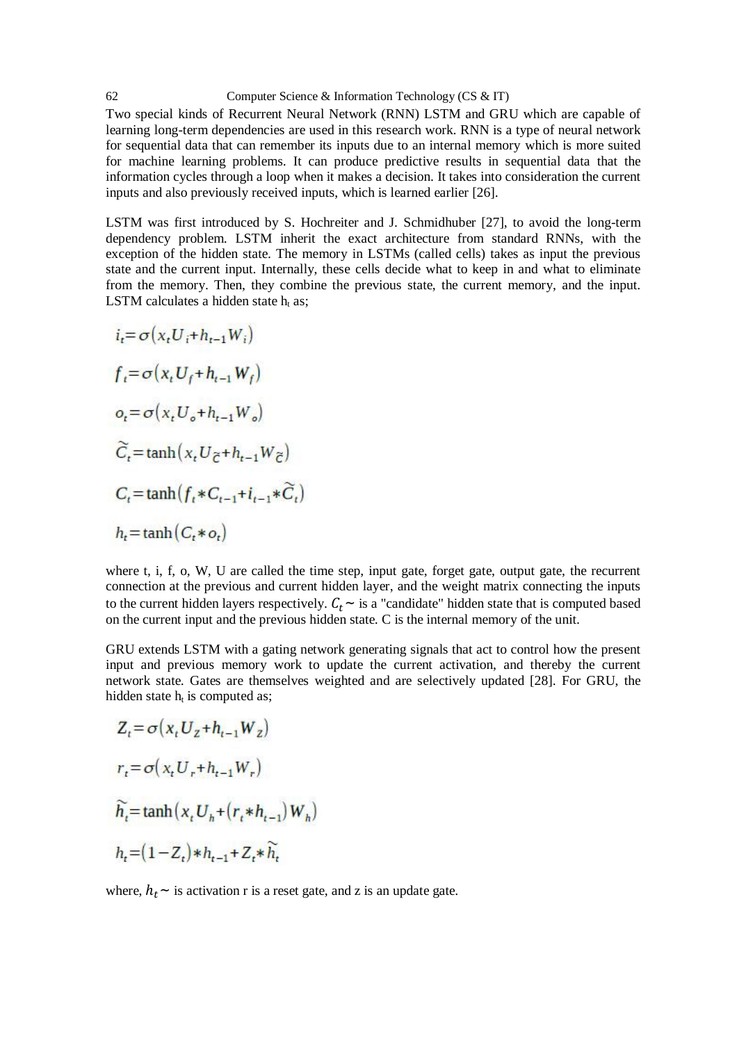62 Computer Science & Information Technology (CS & IT) Two special kinds of Recurrent Neural Network (RNN) LSTM and GRU which are capable of learning long-term dependencies are used in this research work. RNN is a type of neural network for sequential data that can remember its inputs due to an internal memory which is more suited for machine learning problems. It can produce predictive results in sequential data that the information cycles through a loop when it makes a decision. It takes into consideration the current inputs and also previously received inputs, which is learned earlier [26].

LSTM was first introduced by S. Hochreiter and J. Schmidhuber [27], to avoid the long-term dependency problem. LSTM inherit the exact architecture from standard RNNs, with the exception of the hidden state. The memory in LSTMs (called cells) takes as input the previous state and the current input. Internally, these cells decide what to keep in and what to eliminate from the memory. Then, they combine the previous state, the current memory, and the input. LSTM calculates a hidden state  $h_t$  as;

$$
i_{t} = \sigma(x_{t}U_{i} + h_{t-1}W_{i})
$$
  
\n
$$
f_{t} = \sigma(x_{t}U_{f} + h_{t-1}W_{f})
$$
  
\n
$$
o_{t} = \sigma(x_{t}U_{o} + h_{t-1}W_{o})
$$
  
\n
$$
\widetilde{C}_{t} = \tanh(x_{t}U_{\widetilde{C}} + h_{t-1}W_{\widetilde{C}})
$$
  
\n
$$
C_{t} = \tanh(f_{t} * C_{t-1} + i_{t-1} * \widetilde{C}_{t})
$$
  
\n
$$
h_{t} = \tanh(C_{t} * o_{t})
$$

the committee of the personal control of the person of the

where t, i, f, o, W, U are called the time step, input gate, forget gate, output gate, the recurrent connection at the previous and current hidden layer, and the weight matrix connecting the inputs to the current hidden layers respectively.  $C_t$  ~ is a "candidate" hidden state that is computed based on the current input and the previous hidden state. C is the internal memory of the unit.

GRU extends LSTM with a gating network generating signals that act to control how the present input and previous memory work to update the current activation, and thereby the current network state. Gates are themselves weighted and are selectively updated [28]. For GRU, the hidden state  $h_t$  is computed as;

$$
Z_{t} = \sigma\left(x_{t}U_{z} + h_{t-1}W_{z}\right)
$$
  
\n
$$
r_{t} = \sigma\left(x_{t}U_{r} + h_{t-1}W_{r}\right)
$$
  
\n
$$
\widetilde{h_{t}} = \tanh\left(x_{t}U_{h} + \left(r_{t}*h_{t-1}\right)W_{h}\right)
$$
  
\n
$$
h_{t} = \left(1 - Z_{t}\right) * h_{t-1} + Z_{t} * \widetilde{h_{t}}
$$

where,  $h_t \sim$  is activation r is a reset gate, and z is an update gate.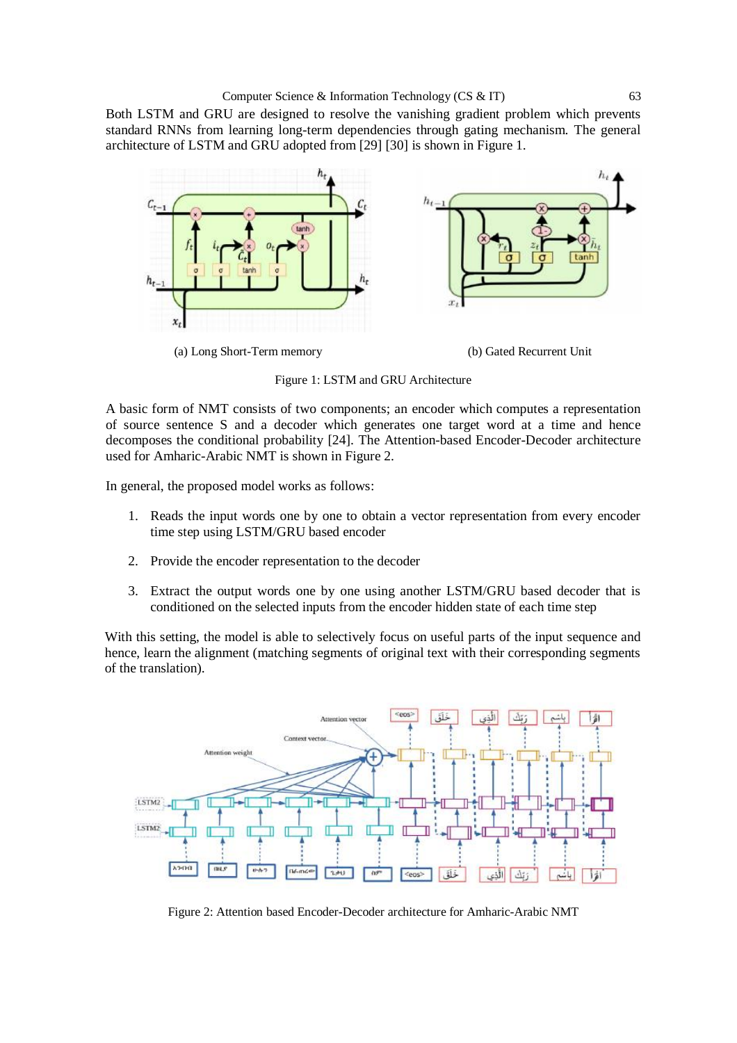Both LSTM and GRU are designed to resolve the vanishing gradient problem which prevents standard RNNs from learning long-term dependencies through gating mechanism. The general architecture of LSTM and GRU adopted from [29] [30] is shown in Figure 1.



(a) Long Short-Term memory (b) Gated Recurrent Unit



Figure 1: LSTM and GRU Architecture

A basic form of NMT consists of two components; an encoder which computes a representation of source sentence S and a decoder which generates one target word at a time and hence decomposes the conditional probability [24]. The Attention-based Encoder-Decoder architecture used for Amharic-Arabic NMT is shown in Figure 2.

In general, the proposed model works as follows:

- 1. Reads the input words one by one to obtain a vector representation from every encoder time step using LSTM/GRU based encoder
- 2. Provide the encoder representation to the decoder
- 3. Extract the output words one by one using another LSTM/GRU based decoder that is conditioned on the selected inputs from the encoder hidden state of each time step

With this setting, the model is able to selectively focus on useful parts of the input sequence and hence, learn the alignment (matching segments of original text with their corresponding segments of the translation).



Figure 2: Attention based Encoder-Decoder architecture for Amharic-Arabic NMT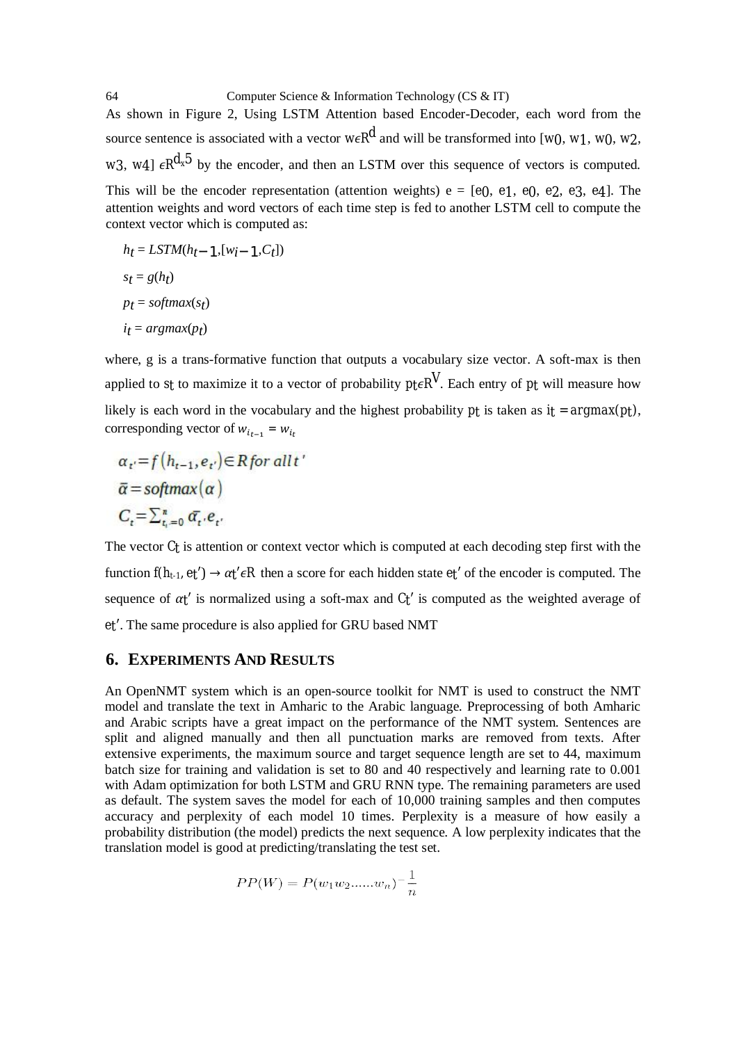64 Computer Science & Information Technology (CS & IT) As shown in Figure 2, Using LSTM Attention based Encoder-Decoder, each word from the source sentence is associated with a vector  $w \in \mathbb{R}^d$  and will be transformed into [ $w_0$ ,  $w_1$ ,  $w_0$ ,  $w_2$ , *w*3, *w*4]  $\epsilon R^{d_x 5}$  by the encoder, and then an LSTM over this sequence of vectors is computed. This will be the encoder representation (attention weights)  $e = [e_0, e_1, e_0, e_2, e_3, e_4]$ . The attention weights and word vectors of each time step is fed to another LSTM cell to compute the context vector which is computed as: ])

$$
h_t = LSTM(h_t-1, [w_i-1, C_t]
$$
  
\n
$$
s_t = g(h_t)
$$
  
\n
$$
p_t = softmax(s_t)
$$
  
\n
$$
i_t = argmax(p_t)
$$

where, g is a trans-formative function that outputs a vocabulary size vector. A soft-max is then applied to *st* to maximize it to a vector of probability  $p_f \in R^V$ . Each entry of  $p_f$  will measure how likely is each word in the vocabulary and the highest probability  $p_t$  is taken as  $it = argmax(p_t)$ , corresponding vector of  $w_{i_{t-1}} = w_{i_t}$ 

$$
\alpha_{t'} = f(h_{t-1}, e_{t'}) \in R \text{ for all } t'
$$
  

$$
\overline{\alpha} = \text{softmax}(\alpha)
$$
  

$$
C_t = \sum_{t_i=0}^{\infty} \overline{\alpha}_t \cdot e_{t'}
$$

The vector *Ct* is attention or context vector which is computed at each decoding step first with the function  $f(h_{t-1}, et') \rightarrow \alpha t' \in R$  then a score for each hidden state  $et'$  of the encoder is computed. The sequence of  $\alpha t'$  is normalized using a soft-max and  $Ct'$  is computed as the weighted average of *et*′. The same procedure is also applied for GRU based NMT

## **6. EXPERIMENTS AND RESULTS**

An OpenNMT system which is an open-source toolkit for NMT is used to construct the NMT model and translate the text in Amharic to the Arabic language. Preprocessing of both Amharic and Arabic scripts have a great impact on the performance of the NMT system. Sentences are split and aligned manually and then all punctuation marks are removed from texts. After extensive experiments, the maximum source and target sequence length are set to 44, maximum batch size for training and validation is set to 80 and 40 respectively and learning rate to 0.001 with Adam optimization for both LSTM and GRU RNN type. The remaining parameters are used as default. The system saves the model for each of 10,000 training samples and then computes accuracy and perplexity of each model 10 times. Perplexity is a measure of how easily a probability distribution (the model) predicts the next sequence. A low perplexity indicates that the translation model is good at predicting/translating the test set.

$$
PP(W) = P(w_1 w_2 \dots w_n)^{-1} \frac{1}{n}
$$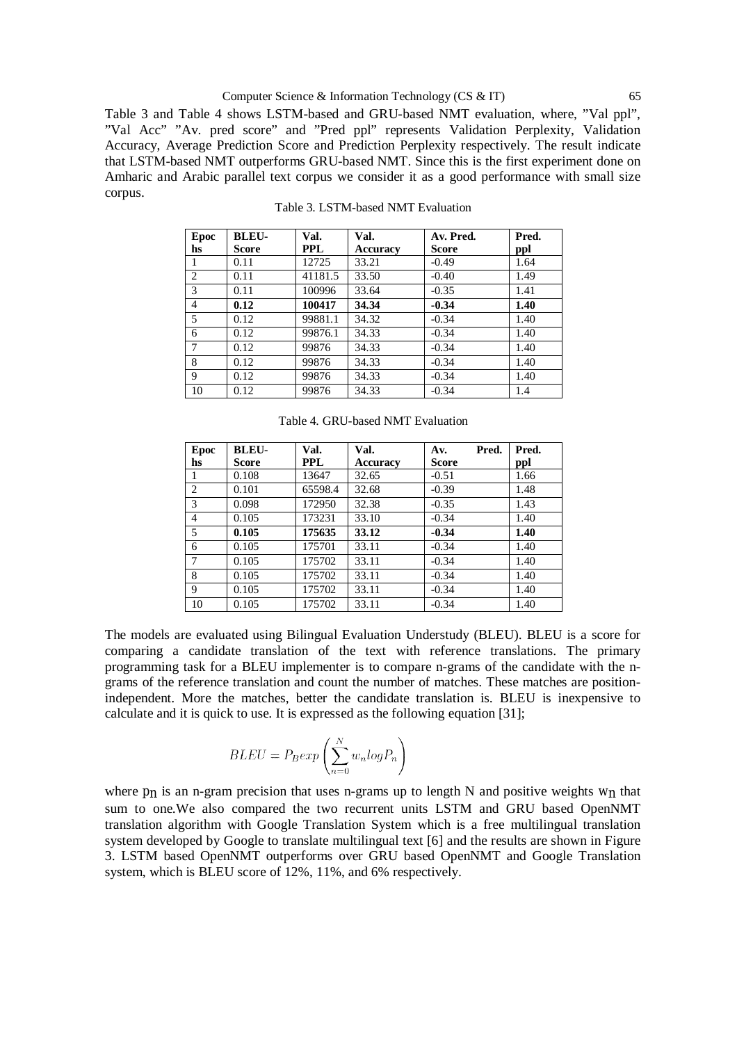Table 3 and Table 4 shows LSTM-based and GRU-based NMT evaluation, where, "Val ppl", "Val Acc" "Av. pred score" and "Pred ppl" represents Validation Perplexity, Validation Accuracy, Average Prediction Score and Prediction Perplexity respectively. The result indicate that LSTM-based NMT outperforms GRU-based NMT. Since this is the first experiment done on Amharic and Arabic parallel text corpus we consider it as a good performance with small size corpus.

| Epoc<br>hs     | <b>BLEU-</b><br>Score | Val.<br>PPL | Val.<br>Accuracy | Av. Pred.<br>Score | Pred.<br>ppl |
|----------------|-----------------------|-------------|------------------|--------------------|--------------|
| 1              | 0.11                  | 12725       | 33.21            | $-0.49$            | 1.64         |
| 2              | 0.11                  | 41181.5     | 33.50            | $-0.40$            | 1.49         |
| 3              | 0.11                  | 100996      | 33.64            | $-0.35$            | 1.41         |
| 4              | 0.12                  | 100417      | 34.34            | $-0.34$            | 1.40         |
| 5              | 0.12                  | 99881.1     | 34.32            | $-0.34$            | 1.40         |
| 6              | 0.12                  | 99876.1     | 34.33            | $-0.34$            | 1.40         |
| $\overline{7}$ | 0.12                  | 99876       | 34.33            | $-0.34$            | 1.40         |
| 8              | 0.12                  | 99876       | 34.33            | $-0.34$            | 1.40         |
| 9              | 0.12                  | 99876       | 34.33            | $-0.34$            | 1.40         |
| 10             | 0.12                  | 99876       | 34.33            | $-0.34$            | 1.4          |

Table 3. LSTM-based NMT Evaluation

| Epoc<br>hs | <b>BLEU-</b><br>Score | Val.<br><b>PPL</b> | Val.<br><b>Accuracy</b> | Av.<br><b>Score</b> | Pred. | Pred.<br>ppl |
|------------|-----------------------|--------------------|-------------------------|---------------------|-------|--------------|
| 1          | 0.108                 | 13647              | 32.65                   | $-0.51$             |       | 1.66         |
| 2          | 0.101                 | 65598.4            | 32.68                   | $-0.39$             |       | 1.48         |
| 3          | 0.098                 | 172950             | 32.38                   | $-0.35$             |       | 1.43         |
| 4          | 0.105                 | 173231             | 33.10                   | $-0.34$             |       | 1.40         |
| 5          | 0.105                 | 175635             | 33.12                   | $-0.34$             |       | 1.40         |
| 6          | 0.105                 | 175701             | 33.11                   | $-0.34$             |       | 1.40         |
| $\tau$     | 0.105                 | 175702             | 33.11                   | $-0.34$             |       | 1.40         |
| 8          | 0.105                 | 175702             | 33.11                   | $-0.34$             |       | 1.40         |

9 | 0.105 | 175702 | 33.11 |  $-0.34$  | 1.40 10 0.105 175702 33.11 0.34 1.40

Table 4. GRU-based NMT Evaluation

The models are evaluated using Bilingual Evaluation Understudy (BLEU). BLEU is a score for comparing a candidate translation of the text with reference translations. The primary programming task for a BLEU implementer is to compare n-grams of the candidate with the ngrams of the reference translation and count the number of matches. These matches are positionindependent. More the matches, better the candidate translation is. BLEU is inexpensive to calculate and it is quick to use. It is expressed as the following equation [31];

$$
BLEU = P_B exp\left(\sum_{n=0}^{N} w_n log P_n\right)
$$

where  $p<sub>n</sub>$  is an n-gram precision that uses n-grams up to length N and positive weights  $w<sub>n</sub>$  that sum to one.We also compared the two recurrent units LSTM and GRU based OpenNMT translation algorithm with Google Translation System which is a free multilingual translation system developed by Google to translate multilingual text [6] and the results are shown in Figure 3. LSTM based OpenNMT outperforms over GRU based OpenNMT and Google Translation system, which is BLEU score of 12%, 11%, and 6% respectively.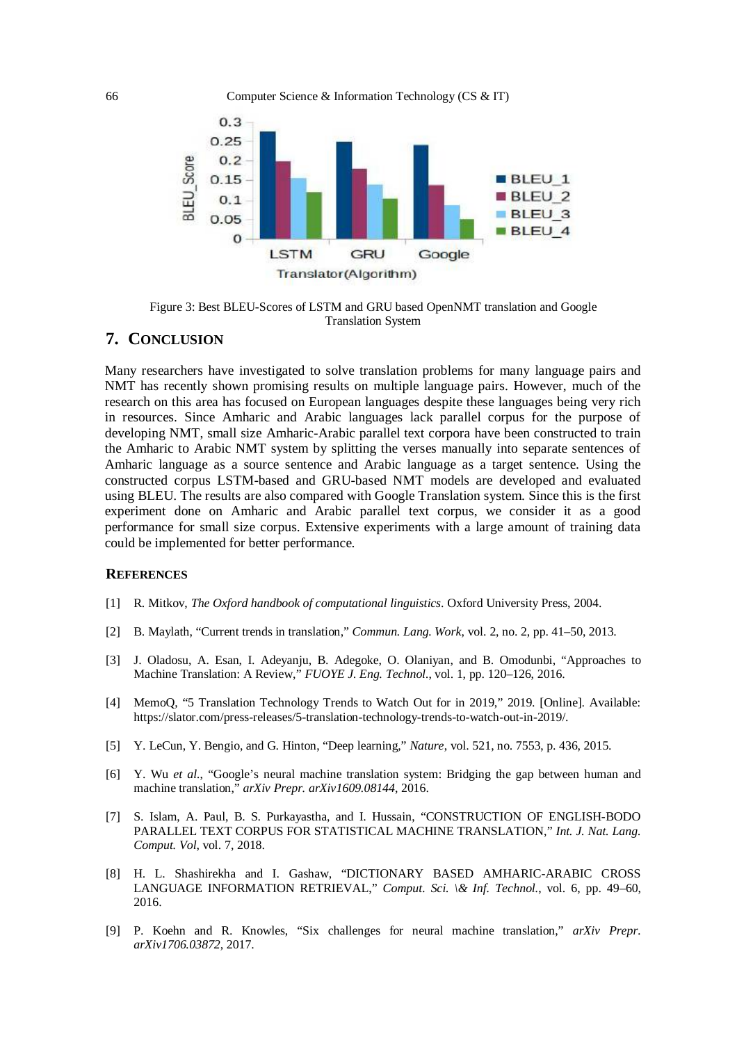

Figure 3: Best BLEU-Scores of LSTM and GRU based OpenNMT translation and Google Translation System

## **7. CONCLUSION**

Many researchers have investigated to solve translation problems for many language pairs and NMT has recently shown promising results on multiple language pairs. However, much of the research on this area has focused on European languages despite these languages being very rich in resources. Since Amharic and Arabic languages lack parallel corpus for the purpose of developing NMT, small size Amharic-Arabic parallel text corpora have been constructed to train the Amharic to Arabic NMT system by splitting the verses manually into separate sentences of Amharic language as a source sentence and Arabic language as a target sentence. Using the constructed corpus LSTM-based and GRU-based NMT models are developed and evaluated using BLEU. The results are also compared with Google Translation system. Since this is the first experiment done on Amharic and Arabic parallel text corpus, we consider it as a good performance for small size corpus. Extensive experiments with a large amount of training data could be implemented for better performance.

#### **REFERENCES**

- [1] R. Mitkov, *The Oxford handbook of computational linguistics*. Oxford University Press, 2004.
- [2] B. Maylath, "Current trends in translation," *Commun. Lang. Work*, vol. 2, no. 2, pp. 41–50, 2013.
- [3] J. Oladosu, A. Esan, I. Adeyanju, B. Adegoke, O. Olaniyan, and B. Omodunbi, "Approaches to Machine Translation: A Review," *FUOYE J. Eng. Technol.*, vol. 1, pp. 120–126, 2016.
- [4] MemoQ, "5 Translation Technology Trends to Watch Out for in 2019," 2019. [Online]. Available: <https://slator.com/press-releases/5-translation-technology-trends-to-watch-out-in-2019/.>
- [5] Y. LeCun, Y. Bengio, and G. Hinton, "Deep learning," *Nature*, vol. 521, no. 7553, p. 436, 2015.
- [6] Y. Wu *et al.*, "Google's neural machine translation system: Bridging the gap between human and machine translation," *arXiv Prepr. arXiv1609.08144*, 2016.
- [7] S. Islam, A. Paul, B. S. Purkayastha, and I. Hussain, "CONSTRUCTION OF ENGLISH-BODO PARALLEL TEXT CORPUS FOR STATISTICAL MACHINE TRANSLATION," *Int. J. Nat. Lang. Comput. Vol*, vol. 7, 2018.
- [8] H. L. Shashirekha and I. Gashaw, "DICTIONARY BASED AMHARIC-ARABIC CROSS LANGUAGE INFORMATION RETRIEVAL," *Comput. Sci. \& Inf. Technol.*, vol. 6, pp. 49-60, 2016.
- [9] P. Koehn and R. Knowles, "Six challenges for neural machine translation," *arXiv Prepr. arXiv1706.03872*, 2017.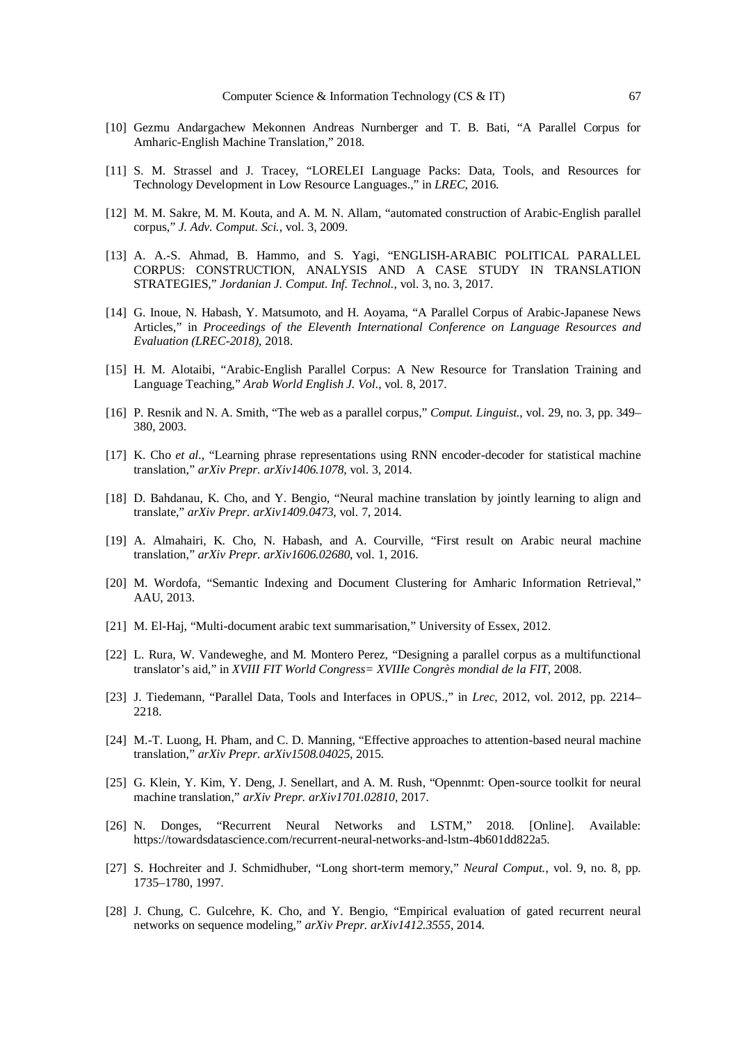- [10] Gezmu Andargachew Mekonnen Andreas Nurnberger and T. B. Bati, "A Parallel Corpus for Amharic-English Machine Translation," 2018.
- [11] S. M. Strassel and J. Tracey, "LORELEI Language Packs: Data, Tools, and Resources for Technology Development in Low Resource Languages.," in *LREC*, 2016.
- [12] M. M. Sakre, M. M. Kouta, and A. M. N. Allam, "automated construction of Arabic-English parallel corpus," *J. Adv. Comput. Sci.*, vol. 3, 2009.
- [13] A. A.-S. Ahmad, B. Hammo, and S. Yagi, "ENGLISH-ARABIC POLITICAL PARALLEL CORPUS: CONSTRUCTION, ANALYSIS AND A CASE STUDY IN TRANSLATION STRATEGIES," *Jordanian J. Comput. Inf. Technol.*, vol. 3, no. 3, 2017.
- [14] G. Inoue, N. Habash, Y. Matsumoto, and H. Aoyama, "A Parallel Corpus of Arabic-Japanese News Articles," in *Proceedings of the Eleventh International Conference on Language Resources and Evaluation (LREC-2018)*, 2018.
- [15] H. M. Alotaibi, "Arabic-English Parallel Corpus: A New Resource for Translation Training and Language Teaching," *Arab World English J. Vol.*, vol. 8, 2017.
- [16] P. Resnik and N. A. Smith, "The web as a parallel corpus," *Comput. Linguist.*, vol. 29, no. 3, pp. 349– 380, 2003.
- [17] K. Cho *et al.*, "Learning phrase representations using RNN encoder-decoder for statistical machine translation," *arXiv Prepr. arXiv1406.1078*, vol. 3, 2014.
- [18] D. Bahdanau, K. Cho, and Y. Bengio, "Neural machine translation by jointly learning to align and translate," *arXiv Prepr. arXiv1409.0473*, vol. 7, 2014.
- [19] A. Almahairi, K. Cho, N. Habash, and A. Courville, "First result on Arabic neural machine translation," *arXiv Prepr. arXiv1606.02680*, vol. 1, 2016.
- [20] M. Wordofa, "Semantic Indexing and Document Clustering for Amharic Information Retrieval," AAU, 2013.
- [21] M. El-Haj, "Multi-document arabic text summarisation," University of Essex, 2012.
- [22] L. Rura, W. Vandeweghe, and M. Montero Perez, "Designing a parallel corpus as a multifunctional translator's aid," in *XVIII FIT World Congress= XVIIIe Congrès mondial de la FIT*, 2008.
- [23] J. Tiedemann, "Parallel Data, Tools and Interfaces in OPUS.," in *Lrec*, 2012, vol. 2012, pp. 2214– 2218.
- [24] M.-T. Luong, H. Pham, and C. D. Manning, "Effective approaches to attention-based neural machine translation," *arXiv Prepr. arXiv1508.04025*, 2015.
- [25] G. Klein, Y. Kim, Y. Deng, J. Senellart, and A. M. Rush, "Opennmt: Open-source toolkit for neural machine translation," *arXiv Prepr. arXiv1701.02810*, 2017.
- [26] N. Donges, "Recurrent Neural Networks and LSTM," 2018. [Online]. Available: <https://towardsdatascience.com/recurrent-neural-networks-and-lstm-4b601dd822a5.>
- [27] S. Hochreiter and J. Schmidhuber, "Long short-term memory," *Neural Comput.*, vol. 9, no. 8, pp. 1735–1780, 1997.
- [28] J. Chung, C. Gulcehre, K. Cho, and Y. Bengio, "Empirical evaluation of gated recurrent neural networks on sequence modeling," *arXiv Prepr. arXiv1412.3555*, 2014.